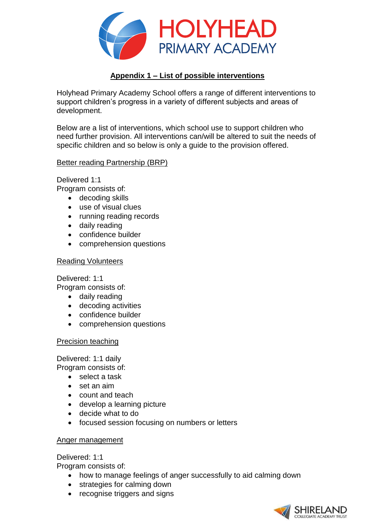

# **Appendix 1 – List of possible interventions**

Holyhead Primary Academy School offers a range of different interventions to support children's progress in a variety of different subjects and areas of development.

Below are a list of interventions, which school use to support children who need further provision. All interventions can/will be altered to suit the needs of specific children and so below is only a guide to the provision offered.

## Better reading Partnership (BRP)

Delivered 1:1

Program consists of:

- decoding skills
- use of visual clues
- running reading records
- daily reading
- confidence builder
- comprehension questions

## Reading Volunteers

Delivered: 1:1

Program consists of:

- daily reading
- decoding activities
- confidence builder
- comprehension questions

## Precision teaching

Delivered: 1:1 daily

Program consists of:

- select a task
- set an aim
- count and teach
- develop a learning picture
- decide what to do
- focused session focusing on numbers or letters

## Anger management

## Delivered: 1:1

Program consists of:

- how to manage feelings of anger successfully to aid calming down
- strategies for calming down
- recognise triggers and signs

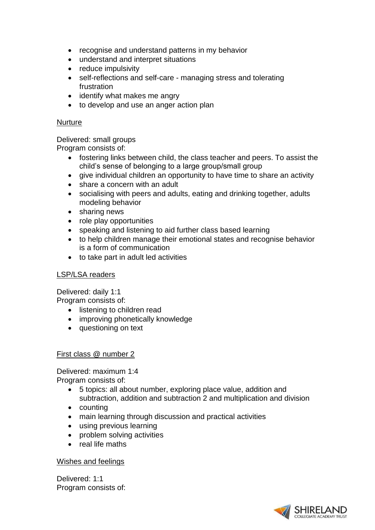- recognise and understand patterns in my behavior
- understand and interpret situations
- reduce impulsivity
- self-reflections and self-care managing stress and tolerating frustration
- identify what makes me angry
- to develop and use an anger action plan

## **Nurture**

Delivered: small groups

Program consists of:

- fostering links between child, the class teacher and peers. To assist the child's sense of belonging to a large group/small group
- give individual children an opportunity to have time to share an activity
- share a concern with an adult
- socialising with peers and adults, eating and drinking together, adults modeling behavior
- sharing news
- role play opportunities
- speaking and listening to aid further class based learning
- to help children manage their emotional states and recognise behavior is a form of communication
- to take part in adult led activities

## LSP/LSA readers

Delivered: daily 1:1

Program consists of:

- listening to children read
- improving phonetically knowledge
- questioning on text

## First class @ number 2

Delivered: maximum 1:4 Program consists of:

- 5 topics: all about number, exploring place value, addition and subtraction, addition and subtraction 2 and multiplication and division
- counting
- main learning through discussion and practical activities
- using previous learning
- problem solving activities
- real life maths

## Wishes and feelings

Delivered: 1:1 Program consists of:

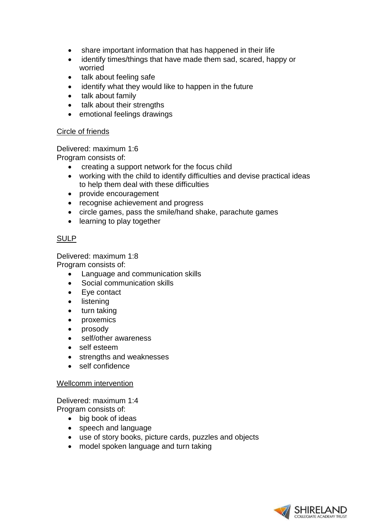- share important information that has happened in their life
- identify times/things that have made them sad, scared, happy or worried
- talk about feeling safe
- identify what they would like to happen in the future
- talk about family
- talk about their strengths
- emotional feelings drawings

#### Circle of friends

Delivered: maximum 1:6

Program consists of:

- creating a support network for the focus child
- working with the child to identify difficulties and devise practical ideas to help them deal with these difficulties
- provide encouragement
- recognise achievement and progress
- circle games, pass the smile/hand shake, parachute games
- learning to play together

## SULP

Delivered: maximum 1:8 Program consists of:

- Language and communication skills
- Social communication skills
- Eye contact
- listening
- turn taking
- proxemics
- prosody
- self/other awareness
- self esteem
- strengths and weaknesses
- self confidence

## Wellcomm intervention

Delivered: maximum 1:4 Program consists of:

- big book of ideas
- speech and language
- use of story books, picture cards, puzzles and objects
- model spoken language and turn taking

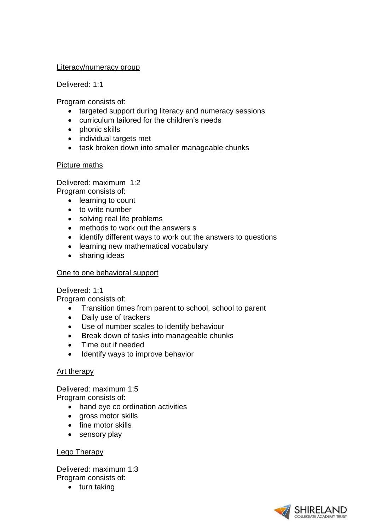#### Literacy/numeracy group

Delivered: 1:1

Program consists of:

- targeted support during literacy and numeracy sessions
- curriculum tailored for the children's needs
- phonic skills
- individual targets met
- task broken down into smaller manageable chunks

## Picture maths

Delivered: maximum 1:2

Program consists of:

- learning to count
- to write number
- solving real life problems
- methods to work out the answers s
- identify different ways to work out the answers to questions
- learning new mathematical vocabulary
- sharing ideas

## One to one behavioral support

Delivered: 1:1

Program consists of:

- Transition times from parent to school, school to parent
- Daily use of trackers
- Use of number scales to identify behaviour
- Break down of tasks into manageable chunks
- Time out if needed
- Identify ways to improve behavior

## Art therapy

Delivered: maximum 1:5 Program consists of:

- hand eye co ordination activities
- gross motor skills
- fine motor skills
- sensory play

## Lego Therapy

Delivered: maximum 1:3 Program consists of:

• turn taking